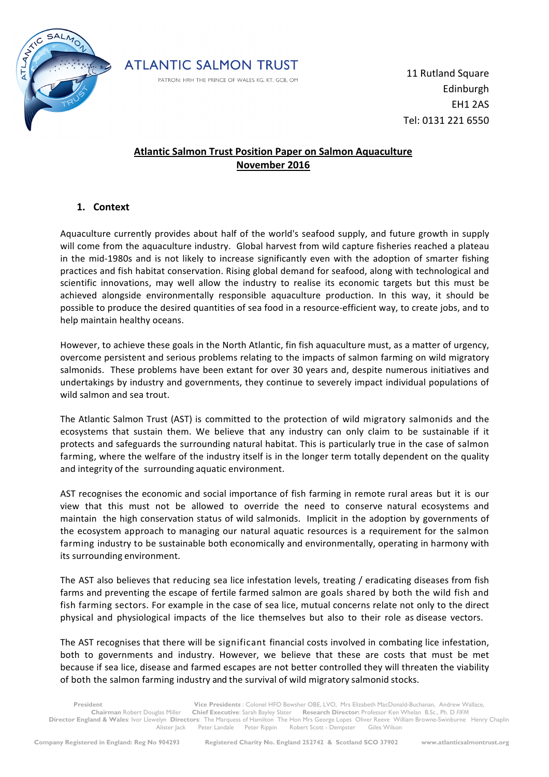



11 Rutland Square Edinburgh EH1 2AS Tel: 0131 221 6550

# **Atlantic Salmon Trust Position Paper on Salmon Aquaculture November 2016**

### **1. Context**

Aquaculture currently provides about half of the world's seafood supply, and future growth in supply will come from the aquaculture industry. Global harvest from wild capture fisheries reached a plateau in the mid-1980s and is not likely to increase significantly even with the adoption of smarter fishing practices and fish habitat conservation. Rising global demand for seafood, along with technological and scientific innovations, may well allow the industry to realise its economic targets but this must be achieved alongside environmentally responsible aquaculture production. In this way, it should be possible to produce the desired quantities of sea food in a resource-efficient way, to create jobs, and to help maintain healthy oceans.

However, to achieve these goals in the North Atlantic, fin fish aquaculture must, as a matter of urgency, overcome persistent and serious problems relating to the impacts of salmon farming on wild migratory salmonids. These problems have been extant for over 30 years and, despite numerous initiatives and undertakings by industry and governments, they continue to severely impact individual populations of wild salmon and sea trout.

The Atlantic Salmon Trust (AST) is committed to the protection of wild migratory salmonids and the ecosystems that sustain them. We believe that any industry can only claim to be sustainable if it protects and safeguards the surrounding natural habitat. This is particularly true in the case of salmon farming, where the welfare of the industry itself is in the longer term totally dependent on the quality and integrity of the surrounding aquatic environment.

AST recognises the economic and social importance of fish farming in remote rural areas but it is our view that this must not be allowed to override the need to conserve natural ecosystems and maintain the high conservation status of wild salmonids. Implicit in the adoption by governments of the ecosystem approach to managing our natural aquatic resources is a requirement for the salmon farming industry to be sustainable both economically and environmentally, operating in harmony with its surrounding environment.

The AST also believes that reducing sea lice infestation levels, treating / eradicating diseases from fish farms and preventing the escape of fertile farmed salmon are goals shared by both the wild fish and fish farming sectors. For example in the case of sea lice, mutual concerns relate not only to the direct physical and physiological impacts of the lice themselves but also to their role as disease vectors.

The AST recognises that there will be significant financial costs involved in combating lice infestation, both to governments and industry. However, we believe that these are costs that must be met because if sea lice, disease and farmed escapes are not better controlled they will threaten the viability of both the salmon farming industry and the survival of wild migratory salmonid stocks.

**President Vice Presidents :** Colonel HFO Bewsher OBE, LVO, Mrs Elizabeth MacDonald-Buchanan, Andrew Wallace,<br>Chairman Robert Douglas Miller Chief Executive: Sarah Bayley Slater Research Director: Professor Ken Whelan B.Sc **Chief Executive**: Sarah Bayley Slater **Research Director:** Professor Ken Whelan B.Sc., Ph. D FIFM **Director England & Wales**: Ivor Llewelyn **Directors**: The Marquess of Hamilton The Hon Mrs George Lopes Oliver Reeve William Browne-Swinburne Henry Chaplin Alister Jack Peter Landale Peter Rippin Robert Scott - Dempster Giles Wilson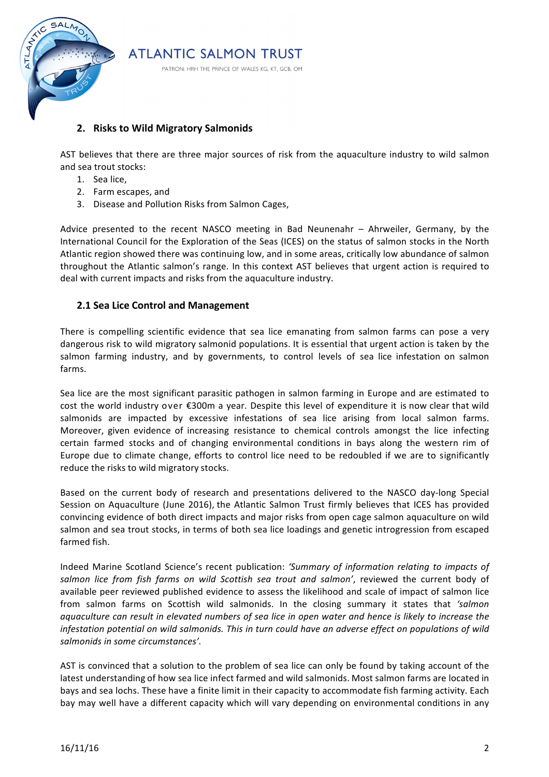

## **2.** Risks to Wild Migratory Salmonids

AST believes that there are three major sources of risk from the aquaculture industry to wild salmon and sea trout stocks:

- 1. Sea lice,
- 2. Farm escapes, and
- 3. Disease and Pollution Risks from Salmon Cages,

Advice presented to the recent NASCO meeting in Bad Neunenahr – Ahrweiler, Germany, by the International Council for the Exploration of the Seas (ICES) on the status of salmon stocks in the North Atlantic region showed there was continuing low, and in some areas, critically low abundance of salmon throughout the Atlantic salmon's range. In this context AST believes that urgent action is required to deal with current impacts and risks from the aquaculture industry.

#### **2.1 Sea Lice Control and Management**

There is compelling scientific evidence that sea lice emanating from salmon farms can pose a very dangerous risk to wild migratory salmonid populations. It is essential that urgent action is taken by the salmon farming industry, and by governments, to control levels of sea lice infestation on salmon farms.

Sea lice are the most significant parasitic pathogen in salmon farming in Europe and are estimated to cost the world industry over €300m a year. Despite this level of expenditure it is now clear that wild salmonids are impacted by excessive infestations of sea lice arising from local salmon farms. Moreover, given evidence of increasing resistance to chemical controls amongst the lice infecting certain farmed stocks and of changing environmental conditions in bays along the western rim of Europe due to climate change, efforts to control lice need to be redoubled if we are to significantly reduce the risks to wild migratory stocks.

Based on the current body of research and presentations delivered to the NASCO day-long Special Session on Aquaculture (June 2016), the Atlantic Salmon Trust firmly believes that ICES has provided convincing evidence of both direct impacts and major risks from open cage salmon aquaculture on wild salmon and sea trout stocks, in terms of both sea lice loadings and genetic introgression from escaped farmed fish.

Indeed Marine Scotland Science's recent publication: 'Summary of information relating to impacts of salmon lice from fish farms on wild Scottish sea trout and salmon', reviewed the current body of available peer reviewed published evidence to assess the likelihood and scale of impact of salmon lice from salmon farms on Scottish wild salmonids. In the closing summary it states that 'salmon *aquaculture can result in elevated numbers of sea lice in open water and hence is likely to increase the infestation potential on wild salmonids. This in turn could have an adverse effect on populations of wild* salmonids in some circumstances'.

AST is convinced that a solution to the problem of sea lice can only be found by taking account of the latest understanding of how sea lice infect farmed and wild salmonids. Most salmon farms are located in bays and sea lochs. These have a finite limit in their capacity to accommodate fish farming activity. Each bay may well have a different capacity which will vary depending on environmental conditions in any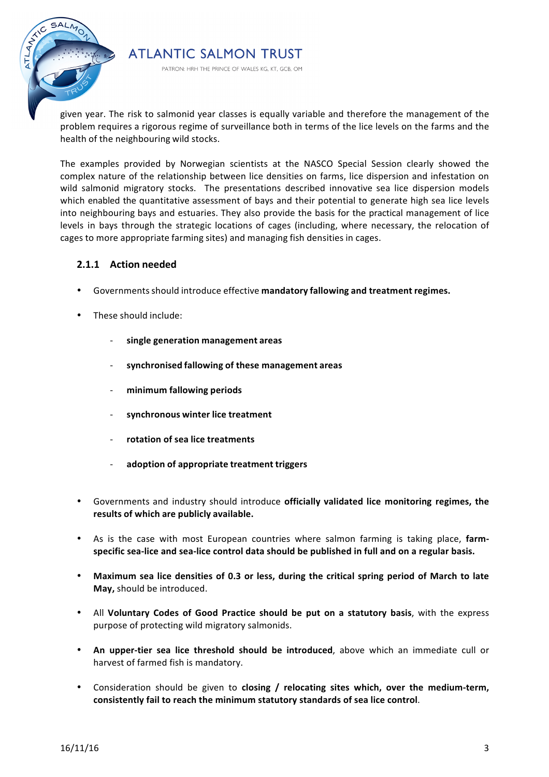

given year. The risk to salmonid year classes is equally variable and therefore the management of the problem requires a rigorous regime of surveillance both in terms of the lice levels on the farms and the health of the neighbouring wild stocks.

The examples provided by Norwegian scientists at the NASCO Special Session clearly showed the complex nature of the relationship between lice densities on farms, lice dispersion and infestation on wild salmonid migratory stocks. The presentations described innovative sea lice dispersion models which enabled the quantitative assessment of bays and their potential to generate high sea lice levels into neighbouring bays and estuaries. They also provide the basis for the practical management of lice levels in bays through the strategic locations of cages (including, where necessary, the relocation of cages to more appropriate farming sites) and managing fish densities in cages.

#### **2.1.1 Action needed**

- Governmentsshould introduce effective **mandatory fallowing and treatment regimes.**
- These should include:
	- **single generation management areas**
	- **synchronised fallowing of these management areas**

**ATLANTIC SALMON TRUST** 

PATRON: HRH THE PRINCE OF WALES KG, KT, GCB, OM

- **minimum fallowing periods**
- **synchronous winter lice treatment**
- **rotation of sea lice treatments**
- **adoption of appropriate treatment triggers**
- Governments and industry should introduce **officially validated lice monitoring regimes, the results of which are publicly available.**
- As is the case with most European countries where salmon farming is taking place, farmspecific sea-lice and sea-lice control data should be published in full and on a regular basis.
- Maximum sea lice densities of 0.3 or less, during the critical spring period of March to late May, should be introduced.
- All Voluntary Codes of Good Practice should be put on a statutory basis, with the express purpose of protecting wild migratory salmonids.
- An upper-tier sea lice threshold should be introduced, above which an immediate cull or harvest of farmed fish is mandatory.
- Consideration should be given to **closing / relocating sites which, over the medium-term,** consistently fail to reach the minimum statutory standards of sea lice control.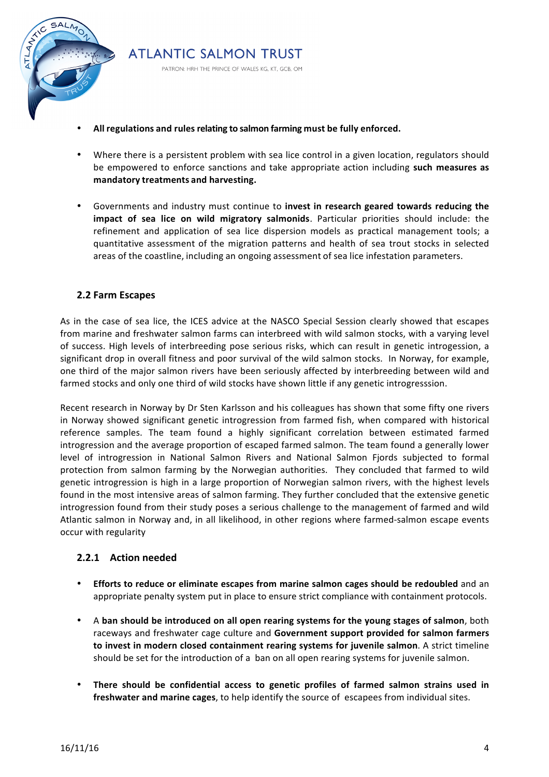

All regulations and rules relating to salmon farming must be fully enforced.

**ATLANTIC SALMON TRUST** 

PATRON: HRH THE PRINCE OF WALES KG, KT, GCB, OM

- Where there is a persistent problem with sea lice control in a given location, regulators should be empowered to enforce sanctions and take appropriate action including **such measures as mandatory treatments and harvesting.**
- Governments and industry must continue to **invest in research geared towards reducing the impact of sea lice on wild migratory salmonids**. Particular priorities should include: the refinement and application of sea lice dispersion models as practical management tools; a quantitative assessment of the migration patterns and health of sea trout stocks in selected areas of the coastline, including an ongoing assessment of sea lice infestation parameters.

#### **2.2 Farm Escapes**

As in the case of sea lice, the ICES advice at the NASCO Special Session clearly showed that escapes from marine and freshwater salmon farms can interbreed with wild salmon stocks, with a varying level of success. High levels of interbreeding pose serious risks, which can result in genetic introgession, a significant drop in overall fitness and poor survival of the wild salmon stocks. In Norway, for example, one third of the major salmon rivers have been seriously affected by interbreeding between wild and farmed stocks and only one third of wild stocks have shown little if any genetic introgresssion.

Recent research in Norway by Dr Sten Karlsson and his colleagues has shown that some fifty one rivers in Norway showed significant genetic introgression from farmed fish, when compared with historical reference samples. The team found a highly significant correlation between estimated farmed introgression and the average proportion of escaped farmed salmon. The team found a generally lower level of introgression in National Salmon Rivers and National Salmon Fjords subjected to formal protection from salmon farming by the Norwegian authorities. They concluded that farmed to wild genetic introgression is high in a large proportion of Norwegian salmon rivers, with the highest levels found in the most intensive areas of salmon farming. They further concluded that the extensive genetic introgression found from their study poses a serious challenge to the management of farmed and wild Atlantic salmon in Norway and, in all likelihood, in other regions where farmed-salmon escape events occur with regularity

#### **2.2.1 Action needed**

- **Efforts to reduce or eliminate escapes from marine salmon cages should be redoubled** and an appropriate penalty system put in place to ensure strict compliance with containment protocols.
- A ban should be introduced on all open rearing systems for the young stages of salmon, both raceways and freshwater cage culture and Government support provided for salmon farmers to invest in modern closed containment rearing systems for juvenile salmon. A strict timeline should be set for the introduction of a ban on all open rearing systems for juvenile salmon.
- There should be confidential access to genetic profiles of farmed salmon strains used in **freshwater and marine cages**, to help identify the source of escapees from individual sites.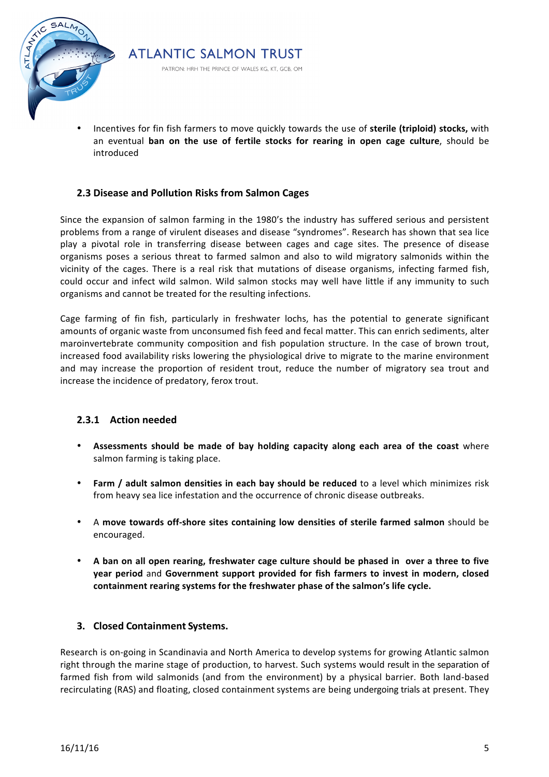

Incentives for fin fish farmers to move quickly towards the use of **sterile (triploid) stocks,** with an eventual **ban on the use of fertile stocks for rearing in open cage culture**, should be introduced 

### **2.3 Disease and Pollution Risks from Salmon Cages**

**ATLANTIC SALMON TRUST** 

PATRON: HRH THE PRINCE OF WALES KG, KT, GCB, OM

Since the expansion of salmon farming in the 1980's the industry has suffered serious and persistent problems from a range of virulent diseases and disease "syndromes". Research has shown that sea lice play a pivotal role in transferring disease between cages and cage sites. The presence of disease organisms poses a serious threat to farmed salmon and also to wild migratory salmonids within the vicinity of the cages. There is a real risk that mutations of disease organisms, infecting farmed fish, could occur and infect wild salmon. Wild salmon stocks may well have little if any immunity to such organisms and cannot be treated for the resulting infections.

Cage farming of fin fish, particularly in freshwater lochs, has the potential to generate significant amounts of organic waste from unconsumed fish feed and fecal matter. This can enrich sediments, alter maroinvertebrate community composition and fish population structure. In the case of brown trout, increased food availability risks lowering the physiological drive to migrate to the marine environment and may increase the proportion of resident trout, reduce the number of migratory sea trout and increase the incidence of predatory, ferox trout.

#### **2.3.1 Action needed**

- Assessments should be made of bay holding capacity along each area of the coast where salmon farming is taking place.
- **Farm / adult salmon densities in each bay should be reduced** to a level which minimizes risk from heavy sea lice infestation and the occurrence of chronic disease outbreaks.
- A move towards off-shore sites containing low densities of sterile farmed salmon should be encouraged.
- A ban on all open rearing, freshwater cage culture should be phased in over a three to five **year period** and Government support provided for fish farmers to invest in modern, closed containment rearing systems for the freshwater phase of the salmon's life cycle.

#### **3. Closed Containment Systems.**

Research is on-going in Scandinavia and North America to develop systems for growing Atlantic salmon right through the marine stage of production, to harvest. Such systems would result in the separation of farmed fish from wild salmonids (and from the environment) by a physical barrier. Both land-based recirculating (RAS) and floating, closed containment systems are being undergoing trials at present. They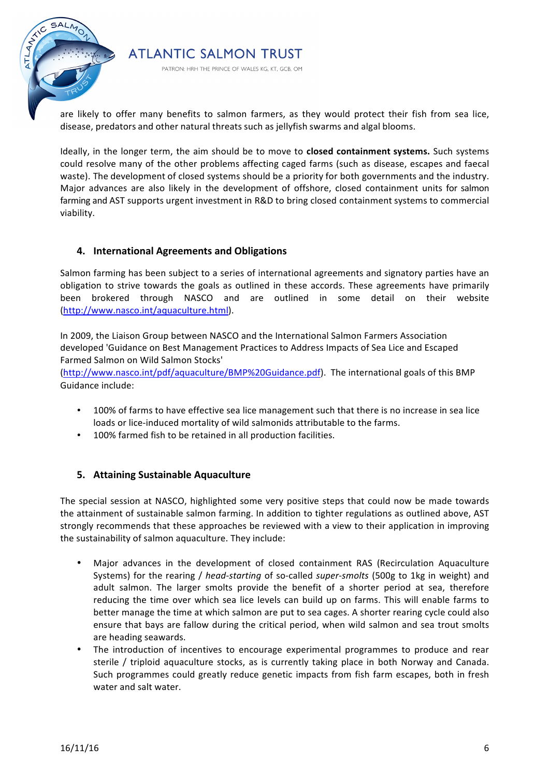

PATRON: HRH THE PRINCE OF WALES KG, KT, GCB, OM

are likely to offer many benefits to salmon farmers, as they would protect their fish from sea lice, disease, predators and other natural threats such as jellyfish swarms and algal blooms.

Ideally, in the longer term, the aim should be to move to **closed containment systems.** Such systems could resolve many of the other problems affecting caged farms (such as disease, escapes and faecal waste). The development of closed systems should be a priority for both governments and the industry. Major advances are also likely in the development of offshore, closed containment units for salmon farming and AST supports urgent investment in R&D to bring closed containment systems to commercial viability.

### **4. International Agreements and Obligations**

Salmon farming has been subject to a series of international agreements and signatory parties have an obligation to strive towards the goals as outlined in these accords. These agreements have primarily been brokered through NASCO and are outlined in some detail on their website (http://www.nasco.int/aquaculture.html). 

In 2009, the Liaison Group between NASCO and the International Salmon Farmers Association developed 'Guidance on Best Management Practices to Address Impacts of Sea Lice and Escaped Farmed Salmon on Wild Salmon Stocks'

(http://www.nasco.int/pdf/aquaculture/BMP%20Guidance.pdf). The international goals of this BMP Guidance include:

- 100% of farms to have effective sea lice management such that there is no increase in sea lice loads or lice-induced mortality of wild salmonids attributable to the farms.
- 100% farmed fish to be retained in all production facilities.

### **5.** Attaining Sustainable Aquaculture

The special session at NASCO, highlighted some very positive steps that could now be made towards the attainment of sustainable salmon farming. In addition to tighter regulations as outlined above, AST strongly recommends that these approaches be reviewed with a view to their application in improving the sustainability of salmon aquaculture. They include:

- Major advances in the development of closed containment RAS (Recirculation Aquaculture Systems) for the rearing / *head-starting* of so-called *super-smolts* (500g to 1kg in weight) and adult salmon. The larger smolts provide the benefit of a shorter period at sea, therefore reducing the time over which sea lice levels can build up on farms. This will enable farms to better manage the time at which salmon are put to sea cages. A shorter rearing cycle could also ensure that bays are fallow during the critical period, when wild salmon and sea trout smolts are heading seawards.
- The introduction of incentives to encourage experimental programmes to produce and rear sterile / triploid aquaculture stocks, as is currently taking place in both Norway and Canada. Such programmes could greatly reduce genetic impacts from fish farm escapes, both in fresh water and salt water.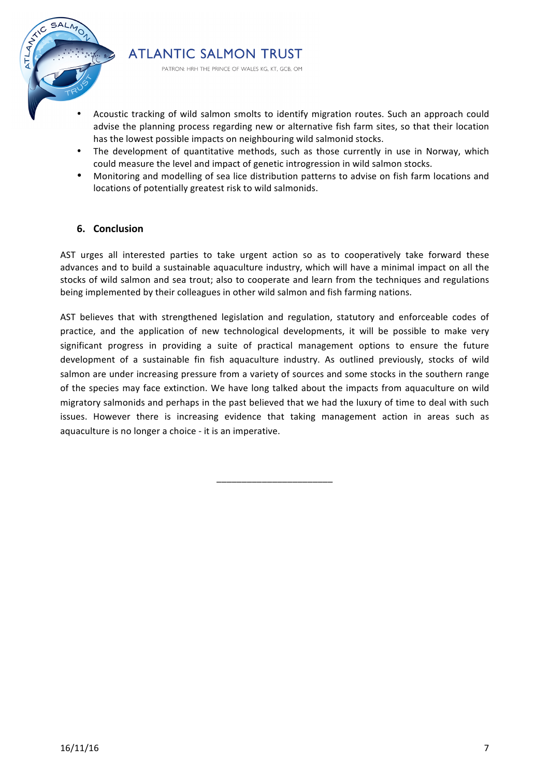

**ATLANTIC SALMON TRUST** 

PATRON: HRH THE PRINCE OF WALES KG, KT, GCB, OM

- Acoustic tracking of wild salmon smolts to identify migration routes. Such an approach could advise the planning process regarding new or alternative fish farm sites, so that their location has the lowest possible impacts on neighbouring wild salmonid stocks.
- The development of quantitative methods, such as those currently in use in Norway, which could measure the level and impact of genetic introgression in wild salmon stocks.
- Monitoring and modelling of sea lice distribution patterns to advise on fish farm locations and locations of potentially greatest risk to wild salmonids.

### **6. Conclusion**

AST urges all interested parties to take urgent action so as to cooperatively take forward these advances and to build a sustainable aquaculture industry, which will have a minimal impact on all the stocks of wild salmon and sea trout; also to cooperate and learn from the techniques and regulations being implemented by their colleagues in other wild salmon and fish farming nations.

AST believes that with strengthened legislation and regulation, statutory and enforceable codes of practice, and the application of new technological developments, it will be possible to make very significant progress in providing a suite of practical management options to ensure the future development of a sustainable fin fish aquaculture industry. As outlined previously, stocks of wild salmon are under increasing pressure from a variety of sources and some stocks in the southern range of the species may face extinction. We have long talked about the impacts from aquaculture on wild migratory salmonids and perhaps in the past believed that we had the luxury of time to deal with such issues. However there is increasing evidence that taking management action in areas such as aquaculture is no longer a choice - it is an imperative.

\_\_\_\_\_\_\_\_\_\_\_\_\_\_\_\_\_\_\_\_\_\_\_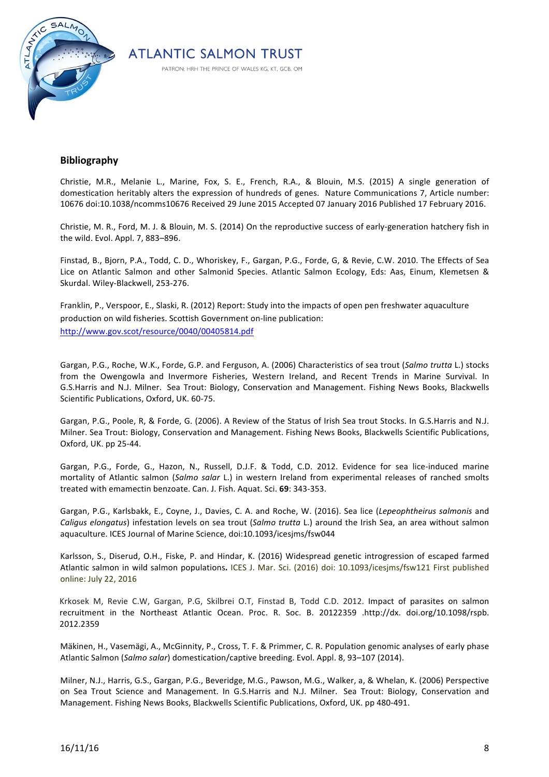



### **Bibliography**

Christie, M.R., Melanie L., Marine, Fox, S. E., French, R.A., & Blouin, M.S. (2015) A single generation of domestication heritably alters the expression of hundreds of genes. Nature Communications 7, Article number: 10676 doi:10.1038/ncomms10676 Received 29 June 2015 Accepted 07 January 2016 Published 17 February 2016.

Christie, M. R., Ford, M. J. & Blouin, M. S. (2014) On the reproductive success of early-generation hatchery fish in the wild. Evol. Appl. 7, 883-896.

Finstad, B., Bjorn, P.A., Todd, C. D., Whoriskey, F., Gargan, P.G., Forde, G, & Revie, C.W. 2010. The Effects of Sea Lice on Atlantic Salmon and other Salmonid Species. Atlantic Salmon Ecology, Eds: Aas, Einum, Klemetsen & Skurdal. Wiley-Blackwell. 253-276.

Franklin, P., Verspoor, E., Slaski, R. (2012) Report: Study into the impacts of open pen freshwater aquaculture production on wild fisheries. Scottish Government on-line publication: http://www.gov.scot/resource/0040/00405814.pdf

Gargan, P.G., Roche, W.K., Forde, G.P. and Ferguson, A. (2006) Characteristics of sea trout (*Salmo trutta* L.) stocks from the Owengowla and Invermore Fisheries, Western Ireland, and Recent Trends in Marine Survival. In G.S.Harris and N.J. Milner. Sea Trout: Biology, Conservation and Management. Fishing News Books, Blackwells Scientific Publications, Oxford, UK. 60-75.

Gargan, P.G., Poole, R, & Forde, G. (2006). A Review of the Status of Irish Sea trout Stocks. In G.S.Harris and N.J. Milner. Sea Trout: Biology, Conservation and Management. Fishing News Books, Blackwells Scientific Publications, Oxford, UK. pp 25-44.

Gargan, P.G., Forde, G., Hazon, N., Russell, D.J.F. & Todd, C.D. 2012. Evidence for sea lice-induced marine mortality of Atlantic salmon (Salmo salar L.) in western Ireland from experimental releases of ranched smolts treated with emamectin benzoate. Can. J. Fish. Aquat. Sci. 69: 343-353.

Gargan, P.G., Karlsbakk, E., Coyne, J., Davies, C. A. and Roche, W. (2016). Sea lice (Lepeophtheirus salmonis and *Caligus elongatus*) infestation levels on sea trout (*Salmo trutta* L.) around the Irish Sea, an area without salmon aquaculture. ICES Journal of Marine Science, doi:10.1093/icesjms/fsw044

Karlsson, S., Diserud, O.H., Fiske, P. and Hindar, K. (2016) Widespread genetic introgression of escaped farmed Atlantic salmon in wild salmon populations. ICES J. Mar. Sci. (2016) doi: 10.1093/icesjms/fsw121 First published online: July 22, 2016

Krkosek M, Revie C.W, Gargan, P.G, Skilbrei O.T, Finstad B, Todd C.D. 2012. Impact of parasites on salmon recruitment in the Northeast Atlantic Ocean. Proc. R. Soc. B. 20122359 .http://dx. doi.org/10.1098/rspb. 2012.2359

Mäkinen, H., Vasemägi, A., McGinnity, P., Cross, T. F. & Primmer, C. R. Population genomic analyses of early phase Atlantic Salmon (Salmo salar) domestication/captive breeding. Evol. Appl. 8, 93-107 (2014).

Milner, N.J., Harris, G.S., Gargan, P.G., Beveridge, M.G., Pawson, M.G., Walker, a, & Whelan, K. (2006) Perspective on Sea Trout Science and Management. In G.S.Harris and N.J. Milner. Sea Trout: Biology, Conservation and Management. Fishing News Books, Blackwells Scientific Publications, Oxford, UK. pp 480-491.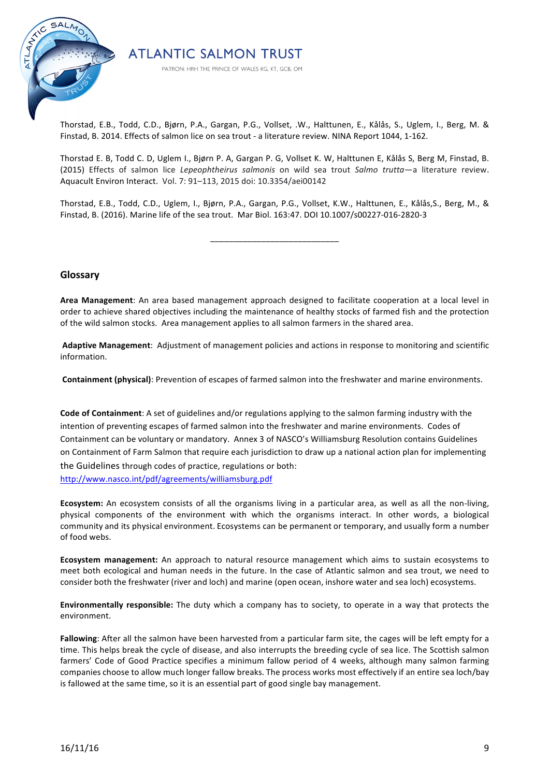

Thorstad, E.B., Todd, C.D., Bjørn, P.A., Gargan, P.G., Vollset, .W., Halttunen, E., Kålås, S., Uglem, I., Berg, M. & Finstad, B. 2014. Effects of salmon lice on sea trout - a literature review. NINA Report 1044, 1-162.

**ATLANTIC SALMON TRUST** 

PATRON: HRH THE PRINCE OF WALES KG, KT, GCB, OM

Thorstad E. B, Todd C. D, Uglem I., Bjørn P. A, Gargan P. G, Vollset K. W, Halttunen E, Kålås S, Berg M, Finstad, B. (2015) Effects of salmon lice *Lepeophtheirus salmonis* on wild sea trout *Salmo trutta*—a literature review. Aquacult Environ Interact. Vol. 7: 91-113, 2015 doi: 10.3354/aei00142

Thorstad, E.B., Todd, C.D., Uglem, I., Bjørn, P.A., Gargan, P.G., Vollset, K.W., Halttunen, E., Kålås,S., Berg, M., & Finstad, B. (2016). Marine life of the sea trout. Mar Biol. 163:47. DOI 10.1007/s00227-016-2820-3

\_\_\_\_\_\_\_\_\_\_\_\_\_\_\_\_\_\_\_\_\_\_\_\_\_\_\_\_

#### **Glossary**

Area Management: An area based management approach designed to facilitate cooperation at a local level in order to achieve shared objectives including the maintenance of healthy stocks of farmed fish and the protection of the wild salmon stocks. Area management applies to all salmon farmers in the shared area.

Adaptive Management: Adjustment of management policies and actions in response to monitoring and scientific information.

**Containment (physical)**: Prevention of escapes of farmed salmon into the freshwater and marine environments.

**Code of Containment**: A set of guidelines and/or regulations applying to the salmon farming industry with the intention of preventing escapes of farmed salmon into the freshwater and marine environments. Codes of Containment can be voluntary or mandatory. Annex 3 of NASCO's Williamsburg Resolution contains Guidelines on Containment of Farm Salmon that require each jurisdiction to draw up a national action plan for implementing the Guidelines through codes of practice, regulations or both:

http://www.nasco.int/pdf/agreements/williamsburg.pdf

Ecosystem: An ecosystem consists of all the organisms living in a particular area, as well as all the non-living, physical components of the environment with which the organisms interact. In other words, a biological community and its physical environment. Ecosystems can be permanent or temporary, and usually form a number of food webs. 

**Ecosystem management:** An approach to natural resource management which aims to sustain ecosystems to meet both ecological and human needs in the future. In the case of Atlantic salmon and sea trout, we need to consider both the freshwater (river and loch) and marine (open ocean, inshore water and sea loch) ecosystems.

**Environmentally responsible:** The duty which a company has to society, to operate in a way that protects the environment.

Fallowing: After all the salmon have been harvested from a particular farm site, the cages will be left empty for a time. This helps break the cycle of disease, and also interrupts the breeding cycle of sea lice. The Scottish salmon farmers' Code of Good Practice specifies a minimum fallow period of 4 weeks, although many salmon farming companies choose to allow much longer fallow breaks. The process works most effectively if an entire sea loch/bay is fallowed at the same time, so it is an essential part of good single bay management.